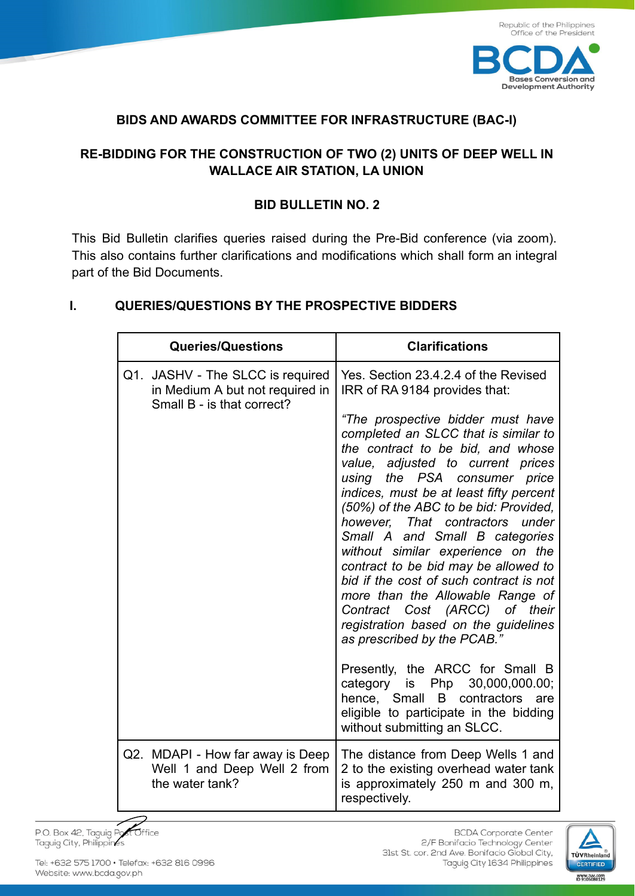

## **BIDS AND AWARDS COMMITTEE FOR INFRASTRUCTURE (BAC-I)**

# **RE-BIDDING FOR THE CONSTRUCTION OF TWO (2) UNITS OF DEEP WELL IN WALLACE AIR STATION, LA UNION**

### **BID BULLETIN NO. 2**

This Bid Bulletin clarifies queries raised during the Pre-Bid conference (via zoom). This also contains further clarifications and modifications which shall form an integral part of the Bid Documents.

### **I. QUERIES/QUESTIONS BY THE PROSPECTIVE BIDDERS**

| <b>Queries/Questions</b>                                                                          | <b>Clarifications</b>                                                                                                                                                                                                                                                                                                                                                                                                                                                                                                                                                                                            |
|---------------------------------------------------------------------------------------------------|------------------------------------------------------------------------------------------------------------------------------------------------------------------------------------------------------------------------------------------------------------------------------------------------------------------------------------------------------------------------------------------------------------------------------------------------------------------------------------------------------------------------------------------------------------------------------------------------------------------|
| Q1. JASHV - The SLCC is required<br>in Medium A but not required in<br>Small B - is that correct? | Yes. Section 23.4.2.4 of the Revised<br>IRR of RA 9184 provides that:                                                                                                                                                                                                                                                                                                                                                                                                                                                                                                                                            |
|                                                                                                   | "The prospective bidder must have<br>completed an SLCC that is similar to<br>the contract to be bid, and whose<br>value, adjusted to current prices<br>using the PSA consumer price<br>indices, must be at least fifty percent<br>(50%) of the ABC to be bid: Provided,<br>however, That contractors under<br>Small A and Small B categories<br>without similar experience on the<br>contract to be bid may be allowed to<br>bid if the cost of such contract is not<br>more than the Allowable Range of<br>Contract Cost (ARCC) of their<br>registration based on the guidelines<br>as prescribed by the PCAB." |
|                                                                                                   | Presently, the ARCC for Small B<br>category is Php 30,000,000.00;<br>hence, Small B contractors are<br>eligible to participate in the bidding<br>without submitting an SLCC.                                                                                                                                                                                                                                                                                                                                                                                                                                     |
| Q2. MDAPI - How far away is Deep<br>Well 1 and Deep Well 2 from<br>the water tank?                | The distance from Deep Wells 1 and<br>2 to the existing overhead water tank<br>is approximately 250 m and 300 m,<br>respectively.                                                                                                                                                                                                                                                                                                                                                                                                                                                                                |

st Office P.O. Box 42, Taguig Po Taguig City, Philippines

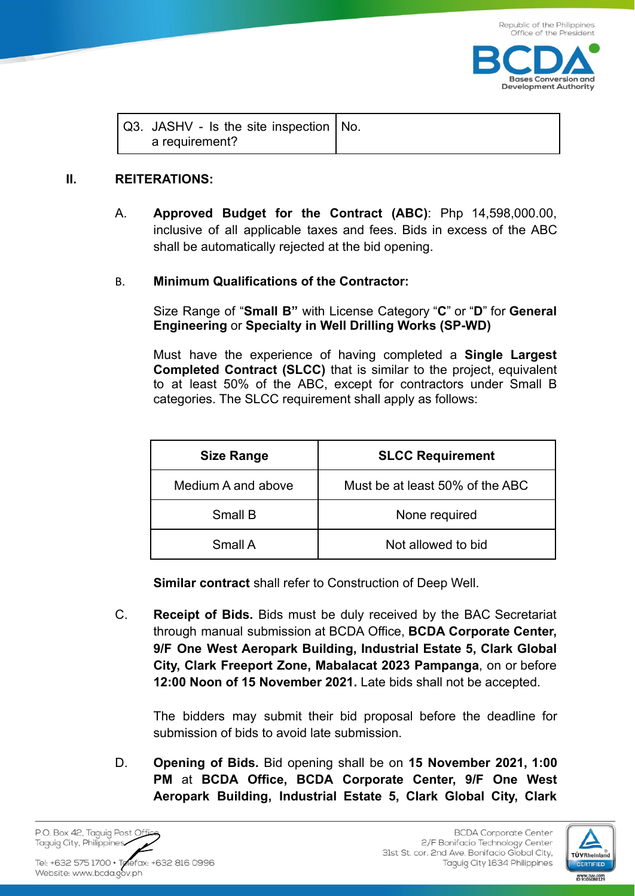

| $\sqrt{Q3}$ . JASHV - Is the site inspection $\sqrt{NQ}$ . |  |
|------------------------------------------------------------|--|
| a requirement?                                             |  |

#### **II. REITERATIONS:**

A. **Approved Budget for the Contract (ABC)**: Php 14,598,000.00, inclusive of all applicable taxes and fees. Bids in excess of the ABC shall be automatically rejected at the bid opening.

#### B. **Minimum Qualifications of the Contractor:**

Size Range of "**Small B"** with License Category "**C**" or "**D**" for **General Engineering** or **Specialty in Well Drilling Works (SP-WD)**

Must have the experience of having completed a **Single Largest Completed Contract (SLCC)** that is similar to the project, equivalent to at least 50% of the ABC, except for contractors under Small B categories. The SLCC requirement shall apply as follows:

| <b>Size Range</b>  | <b>SLCC Requirement</b>         |
|--------------------|---------------------------------|
| Medium A and above | Must be at least 50% of the ABC |
| Small B            | None required                   |
| Small A            | Not allowed to bid              |

**Similar contract** shall refer to Construction of Deep Well.

C. **Receipt of Bids.** Bids must be duly received by the BAC Secretariat through manual submission at BCDA Office, **BCDA Corporate Center, 9/F One West Aeropark Building, Industrial Estate 5, Clark Global City, Clark Freeport Zone, Mabalacat 2023 Pampanga**, on or before **12:00 Noon of 15 November 2021.** Late bids shall not be accepted.

The bidders may submit their bid proposal before the deadline for submission of bids to avoid late submission.

D. **Opening of Bids.** Bid opening shall be on **15 November 2021, 1:00 PM** at **BCDA Office, BCDA Corporate Center, 9/F One West Aeropark Building, Industrial Estate 5, Clark Global City, Clark**